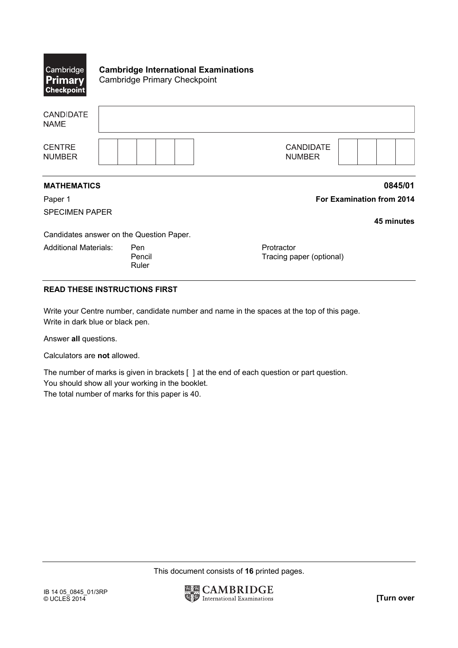| Cambridge<br><b>Primary</b><br><b>Checkpoint</b> | <b>Cambridge International Examinations</b><br><b>Cambridge Primary Checkpoint</b> |                                        |                                  |
|--------------------------------------------------|------------------------------------------------------------------------------------|----------------------------------------|----------------------------------|
| <b>CANDIDATE</b><br><b>NAME</b>                  |                                                                                    |                                        |                                  |
| <b>CENTRE</b><br><b>NUMBER</b>                   |                                                                                    | <b>CANDIDATE</b><br><b>NUMBER</b>      |                                  |
| <b>MATHEMATICS</b>                               |                                                                                    |                                        | 0845/01                          |
| Paper 1                                          |                                                                                    |                                        | <b>For Examination from 2014</b> |
| <b>SPECIMEN PAPER</b>                            |                                                                                    |                                        | 45 minutes                       |
|                                                  | Candidates answer on the Question Paper.                                           |                                        |                                  |
| <b>Additional Materials:</b>                     | Pen<br>Pencil<br>Ruler                                                             | Protractor<br>Tracing paper (optional) |                                  |

## **READ THESE INSTRUCTIONS FIRST**

Write your Centre number, candidate number and name in the spaces at the top of this page. Write in dark blue or black pen.

Answer **all** questions.

Calculators are **not** allowed.

The number of marks is given in brackets [ ] at the end of each question or part question. You should show all your working in the booklet. The total number of marks for this paper is 40.

This document consists of **16** printed pages.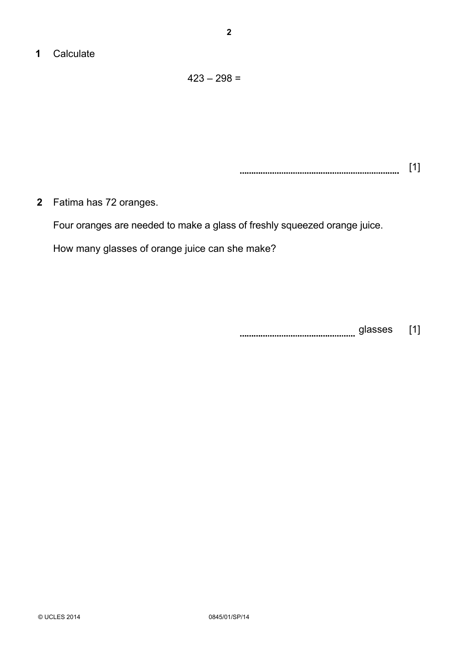## **1** Calculate

 $423 - 298 =$ 

 [1] 

**2** Fatima has 72 oranges.

Four oranges are needed to make a glass of freshly squeezed orange juice.

How many glasses of orange juice can she make?

glasses [1]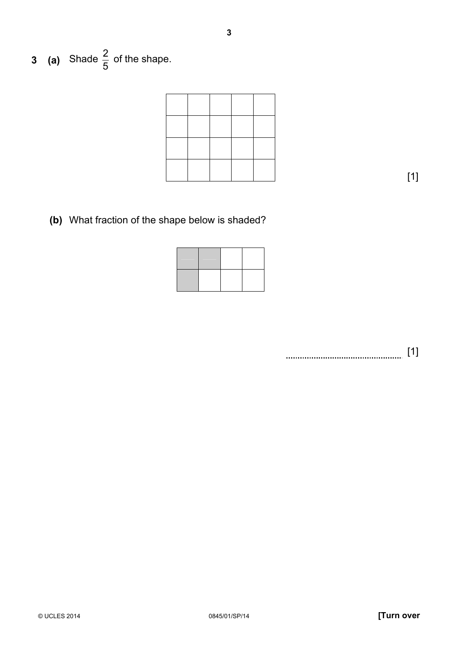**3 (a)** Shade 5  $\frac{2}{5}$  of the shape.

[1]

**(b)** What fraction of the shape below is shaded?

[1]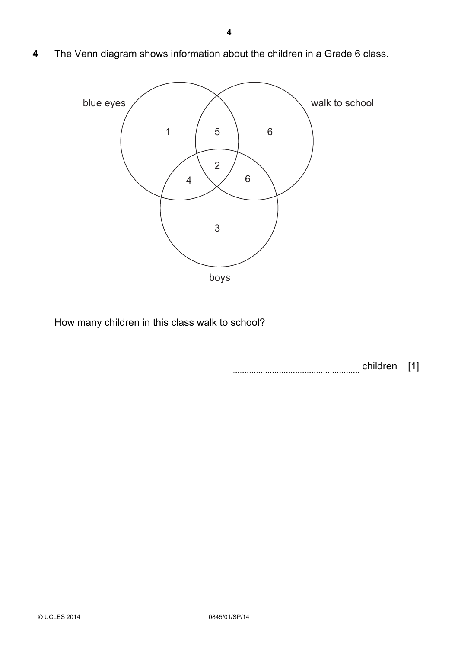**4** The Venn diagram shows information about the children in a Grade 6 class.



How many children in this class walk to school?

children [1]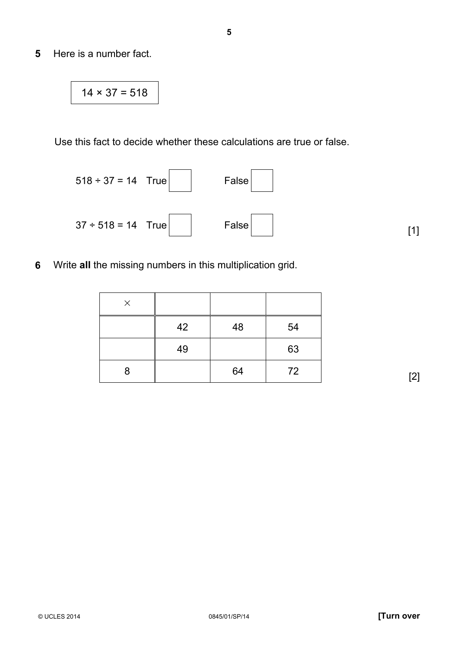**5** Here is a number fact.

$$
14 \times 37 = 518
$$

Use this fact to decide whether these calculations are true or false.

$$
518 \div 37 = 14 \quad \text{True} \qquad \qquad \text{False} \qquad \qquad \text{False} \qquad \qquad \text{Take} \qquad \qquad \text{False} \qquad \qquad \text{False} \qquad \qquad \text{False} \qquad \qquad \text{[1]}
$$

**6** Write **all** the missing numbers in this multiplication grid.

| $\times$ |    |    |    |
|----------|----|----|----|
|          | 42 | 48 | 54 |
|          | 49 |    | 63 |
| 8        |    | 64 | 72 |

[2]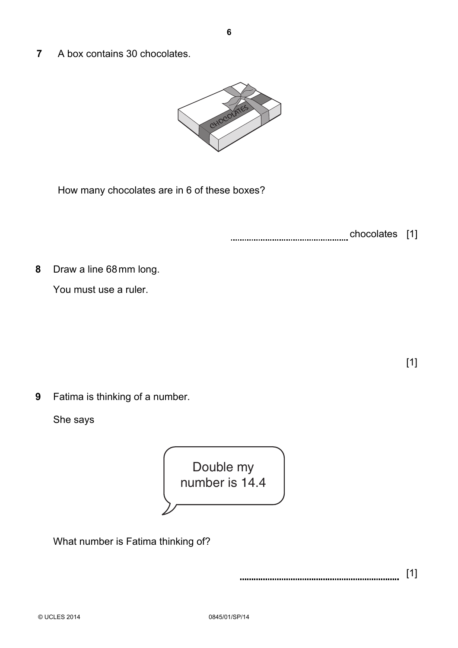**7** A box contains 30 chocolates.



How many chocolates are in 6 of these boxes?

chocolates [1]

**8** Draw a line 68mm long.

You must use a ruler.

[1]

**9** Fatima is thinking of a number.

She says



What number is Fatima thinking of?

[1]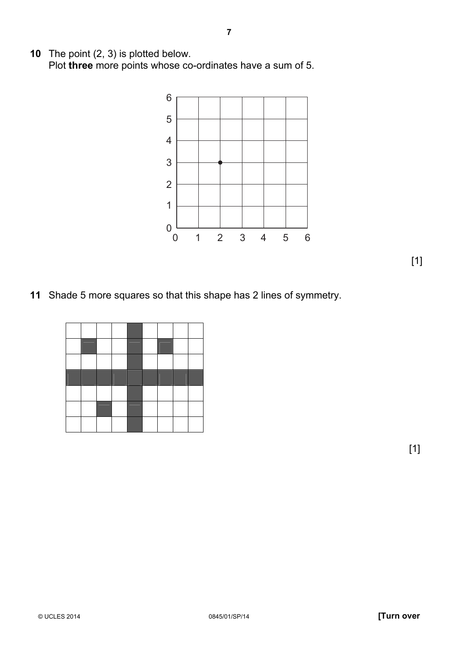The point (2, 3) is plotted below. Plot **three** more points whose co-ordinates have a sum of 5.



Shade 5 more squares so that this shape has 2 lines of symmetry.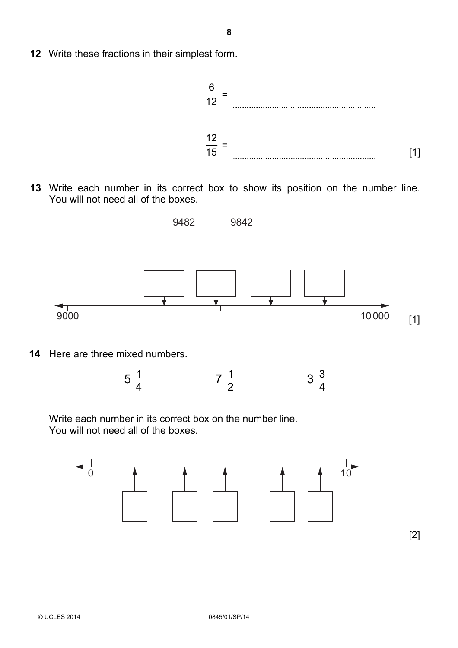**12** Write these fractions in their simplest form.



 **13** Write each number in its correct box to show its position on the number line. You will not need all of the boxes.



**14** Here are three mixed numbers.



Write each number in its correct box on the number line. You will not need all of the boxes.

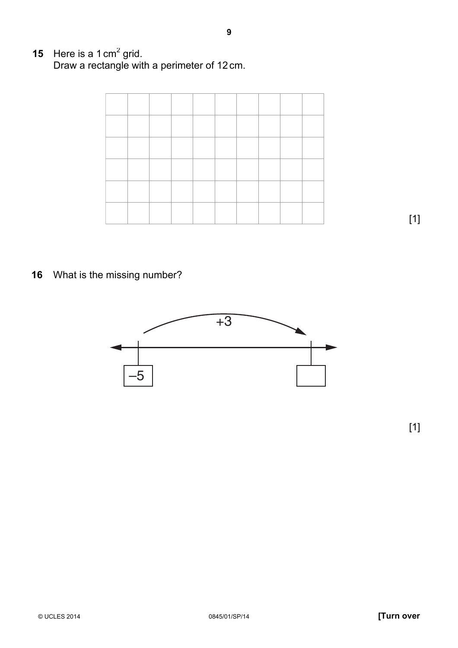**15** Here is a 1 cm<sup>2</sup> grid. Draw a rectangle with a perimeter of 12 cm.

**16** What is the missing number?



[1]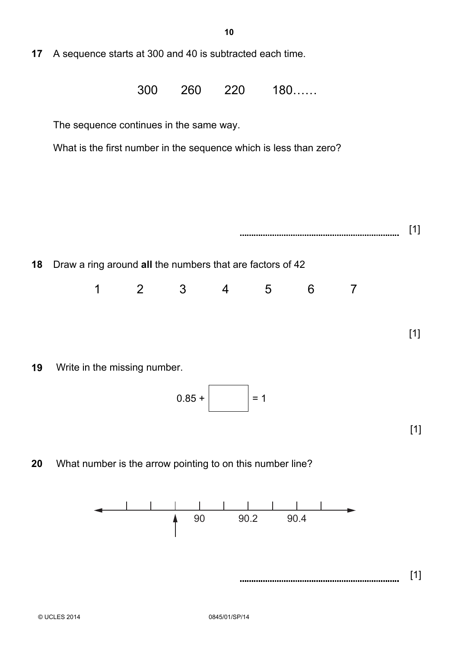**17** A sequence starts at 300 and 40 is subtracted each time.

 $300$   $260$   $220$   $180$ .....

The sequence continues in the same way.

What is the first number in the sequence which is less than zero?



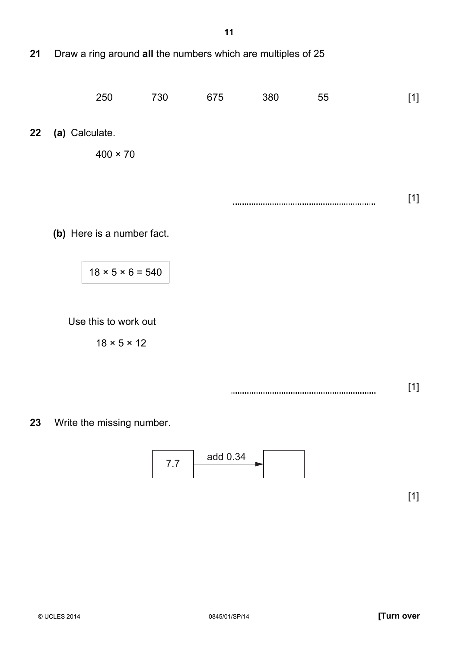**21** Draw a ring around **all** the numbers which are multiples of 25



**(b)** Here is a number fact.

 $18 \times 5 \times 6 = 540$ 

Use this to work out

 $18 \times 5 \times 12$ 

[1]

**23** Write the missing number.

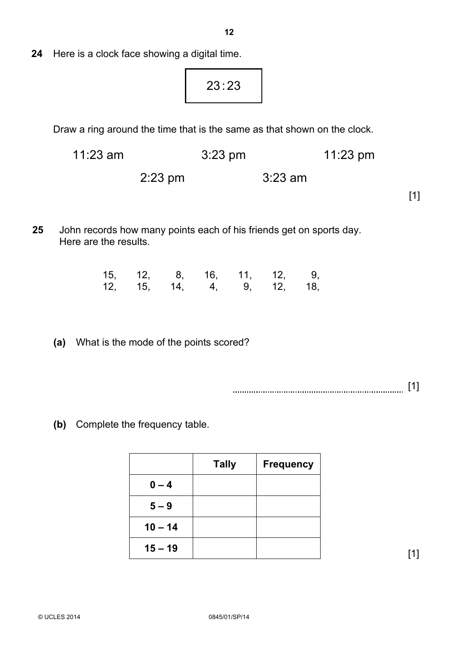**24** Here is a clock face showing a digital time.

23:23

Draw a ring around the time that is the same as that shown on the clock.

11:23 am 3:23 pm 11:23 pm

2:23 pm 3:23 am

 $\begin{bmatrix} 1 \end{bmatrix}$ 

**25** John records how many points each of his friends get on sports day. Here are the results.

|  |  | 15, 12, 8, 16, 11, 12, 9, |  |
|--|--|---------------------------|--|
|  |  | 12, 15, 14, 4, 9, 12, 18, |  |

 **(a)** What is the mode of the points scored?

[1]

**(b)** Complete the frequency table.

|           | <b>Tally</b> | <b>Frequency</b> |
|-----------|--------------|------------------|
| $0 - 4$   |              |                  |
| $5 - 9$   |              |                  |
| $10 - 14$ |              |                  |
| $15 - 19$ |              |                  |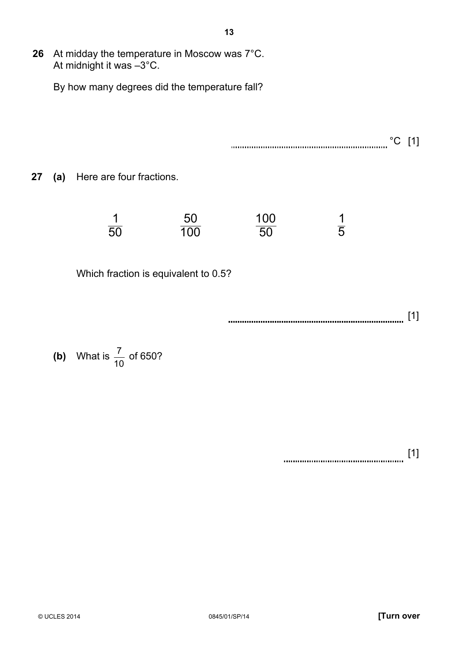**26** At midday the temperature in Moscow was 7°C. At midnight it was –3°C. By how many degrees did the temperature fall? °C [1] **27 (a)** Here are four fractions. 50 1  $\overline{100}$  $50$  $\overline{50}$ 100 5 1 Which fraction is equivalent to 0.5? [1]

**13**

**(b)** What is 10  $\frac{7}{2}$  of 650?

[1]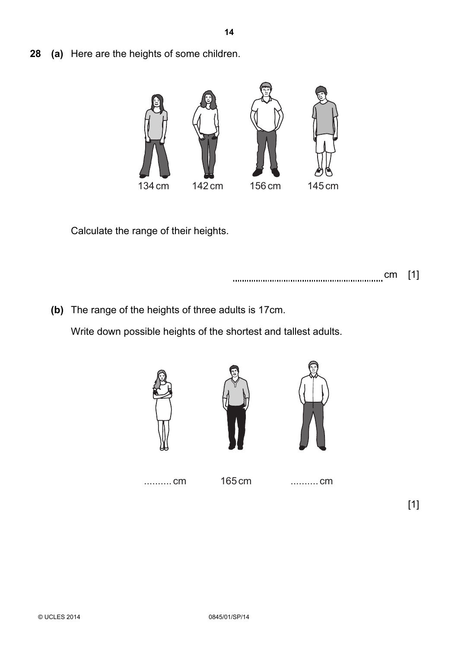**28 (a)** Here are the heights of some children.



Calculate the range of their heights.

cm [1]

**(b)** The range of the heights of three adults is 17cm.

Write down possible heights of the shortest and tallest adults.







.......... cm 165 cm .......... cm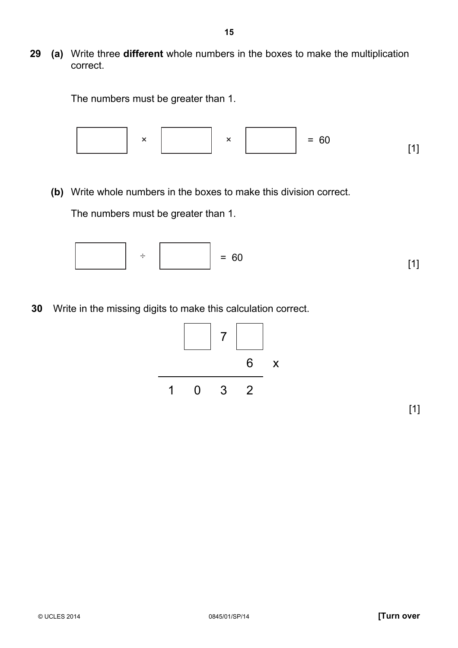**29 (a)** Write three **different** whole numbers in the boxes to make the multiplication correct.

The numbers must be greater than 1.



**(b)** Write whole numbers in the boxes to make this division correct.

The numbers must be greater than 1.



**30** Write in the missing digits to make this calculation correct.